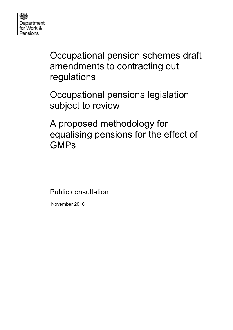

Occupational pension schemes draft amendments to contracting out regulations

Occupational pensions legislation subject to review

A proposed methodology for equalising pensions for the effect of GMPs

Public consultation

November 2016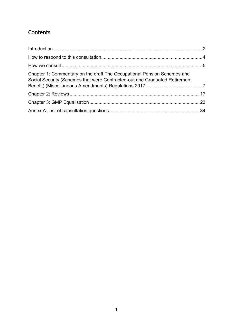## **Contents**

| Chapter 1: Commentary on the draft The Occupational Pension Schemes and<br>Social Security (Schemes that were Contracted-out and Graduated Retirement |  |
|-------------------------------------------------------------------------------------------------------------------------------------------------------|--|
|                                                                                                                                                       |  |
|                                                                                                                                                       |  |
|                                                                                                                                                       |  |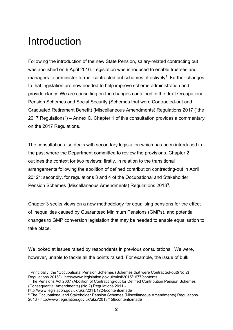# <span id="page-2-0"></span>Introduction

Following the introduction of the new State Pension, salary-related contracting out was abolished on 6 April 2016. Legislation was introduced to enable trustees and managers to administer former contracted out schemes effectively<sup>1</sup>. Further changes to that legislation are now needed to help improve scheme administration and provide clarity. We are consulting on the changes contained in the draft Occupational Pension Schemes and Social Security (Schemes that were Contracted-out and Graduated Retirement Benefit) (Miscellaneous Amendments) Regulations 2017 ("the 2017 Regulations") – Annex C. Chapter 1 of this consultation provides a commentary on the 2017 Regulations.

The consultation also deals with secondary legislation which has been introduced in the past where the Department committed to review the provisions. Chapter 2 outlines the context for two reviews: firstly, in relation to the transitional arrangements following the abolition of defined contribution contracting-out in April 2012[2;](#page-2-2) secondly, for regulations 3 and 4 of the Occupational and Stakeholder Pension Schemes (Miscellaneous Amendments) Regulations 2013[3.](#page-2-3)

Chapter 3 seeks views on a new methodology for equalising pensions for the effect of inequalities caused by Guaranteed Minimum Pensions (GMPs), and potential changes to GMP conversion legislation that may be needed to enable equalisation to take place.

We looked at issues raised by respondents in previous consultations. We were, however, unable to tackle all the points raised. For example, the issue of bulk

<span id="page-2-2"></span><sup>2</sup> The Pensions Act 2007 (Abolition of Contracting-out for Defined Contribution Pension Schemes (Consequential Amendments) (No 2) Regulations 2011 -<br>http://www.legislation.gov.uk/uksi/2011/1724/contents/made

<span id="page-2-1"></span><sup>-</sup><sup>1</sup> Principally, the "Occupational Pension Schemes (Schemes that were Contracted-out)(No 2) Regulations 2015" - http://www.legislation.gov.uk/uksi/2015/1677/contents

<span id="page-2-3"></span> $3$  The Occupational and Stakeholder Pension Schemes (Miscellaneous Amendments) Regulations 2013 - http://www.legislation.gov.uk/uksi/2013/459/contents/made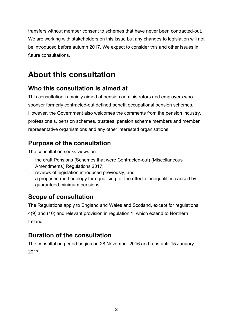transfers without member consent to schemes that have never been contracted-out. We are working with stakeholders on this issue but any changes to legislation will not be introduced before autumn 2017. We expect to consider this and other issues in future consultations.

# **About this consultation**

## **Who this consultation is aimed at**

This consultation is mainly aimed at pension administrators and employers who sponsor formerly contracted-out defined benefit occupational pension schemes. However, the Government also welcomes the comments from the pension industry, professionals, pension schemes, trustees, pension scheme members and member representative organisations and any other interested organisations.

## **Purpose of the consultation**

The consultation seeks views on:

- the draft Pensions (Schemes that were Contracted-out) (Miscellaneous Amendments) Regulations 2017;
- reviews of legislation introduced previously; and
- a proposed methodology for equalising for the effect of inequalities caused by guaranteed minimum pensions.

## **Scope of consultation**

The Regulations apply to England and Wales and Scotland, except for regulations 4(9) and (10) and relevant provision in regulation 1, which extend to Northern Ireland.

## **Duration of the consultation**

The consultation period begins on 28 November 2016 and runs until 15 January 2017.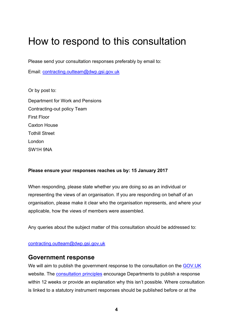# <span id="page-4-0"></span>How to respond to this consultation

Please send your consultation responses preferably by email to:

Email: [contracting.outteam@dwp.gsi.gov.uk](mailto:CONTRACTING.OUTTEAM@DWP.GSI.GOV.UK)

Or by post to:

Department for Work and Pensions Contracting-out policy Team First Floor Caxton House Tothill Street London SW1H 9NA

### **Please ensure your responses reaches us by: 15 January 2017**

When responding, please state whether you are doing so as an individual or representing the views of an organisation. If you are responding on behalf of an organisation, please make it clear who the organisation represents, and where your applicable, how the views of members were assembled.

Any queries about the subject matter of this consultation should be addressed to:

[contracting.outteam@dwp.gsi.gov.uk](mailto:CONTRACTING.OUTTEAM@DWP.GSI.GOV.UK) 

## **Government response**

We will aim to publish the government response to the consultation on the [GOV.UK](https://www.gov.uk/government/publications?keywords=&publication_filter_option=consultations&topics%5B%5D=all&departments%5B%5D=department-for-work-pensions&official_document_status=all&world_locations%5B%5D=all&from_date=&to_date=&commit=Refresh+results) website. The [consultation principles](https://www.gov.uk/government/publications/consultation-principles-guidance) encourage Departments to publish a response within 12 weeks or provide an explanation why this isn't possible. Where consultation is linked to a statutory instrument responses should be published before or at the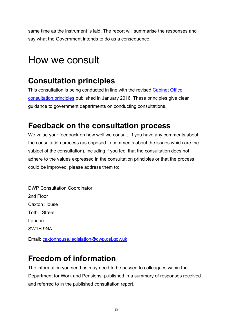same time as the instrument is laid. The report will summarise the responses and say what the Government intends to do as a consequence.

# <span id="page-5-0"></span>How we consult

## **Consultation principles**

This consultation is being conducted in line with the revised [Cabinet Office](https://www.gov.uk/government/publications/consultation-principles-guidance)  [consultation principles](https://www.gov.uk/government/publications/consultation-principles-guidance) published in January 2016. These principles give clear guidance to government departments on conducting consultations.

## **Feedback on the consultation process**

We value your feedback on how well we consult. If you have any comments about the consultation process (as opposed to comments about the issues which are the subject of the consultation), including if you feel that the consultation does not adhere to the values expressed in the consultation principles or that the process could be improved, please address them to:

DWP Consultation Coordinator 2nd Floor Caxton House Tothill Street London SW1H 9NA

Email: [caxtonhouse.legislation@dwp.gsi.gov.uk](mailto:CAXTONHOUSE.LEGISLATION@DWP.GSI.GOV.UK)

# **Freedom of information**

The information you send us may need to be passed to colleagues within the Department for Work and Pensions, published in a summary of responses received and referred to in the published consultation report.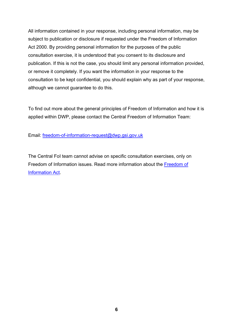All information contained in your response, including personal information, may be subject to publication or disclosure if requested under the Freedom of Information Act 2000. By providing personal information for the purposes of the public consultation exercise, it is understood that you consent to its disclosure and publication. If this is not the case, you should limit any personal information provided, or remove it completely. If you want the information in your response to the consultation to be kept confidential, you should explain why as part of your response, although we cannot guarantee to do this.

To find out more about the general principles of Freedom of Information and how it is applied within DWP, please contact the Central Freedom of Information Team:

Email: [freedom-of-information-request@dwp.gsi.gov.uk](mailto:freedom-of-information-request@dwp.gsi.gov.uk)

The Central FoI team cannot advise on specific consultation exercises, only on Freedom of Information issues. Read more information about the [Freedom of](https://www.gov.uk/make-a-freedom-of-information-request)  [Information Act.](https://www.gov.uk/make-a-freedom-of-information-request)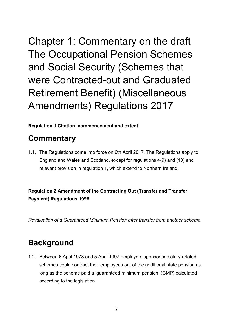<span id="page-7-0"></span>Chapter 1: Commentary on the draft The Occupational Pension Schemes and Social Security (Schemes that were Contracted-out and Graduated Retirement Benefit) (Miscellaneous Amendments) Regulations 2017

**Regulation 1 Citation, commencement and extent**

# **Commentary**

1.1. The Regulations come into force on 6th April 2017. The Regulations apply to England and Wales and Scotland, except for regulations 4(9) and (10) and relevant provision in regulation 1, which extend to Northern Ireland.

**Regulation 2 Amendment of the Contracting Out (Transfer and Transfer Payment) Regulations 1996**

*Revaluation of a Guaranteed Minimum Pension after transfer from another scheme.* 

# **Background**

1.2. Between 6 April 1978 and 5 April 1997 employers sponsoring salary-related schemes could contract their employees out of the additional state pension as long as the scheme paid a 'guaranteed minimum pension' (GMP) calculated according to the legislation.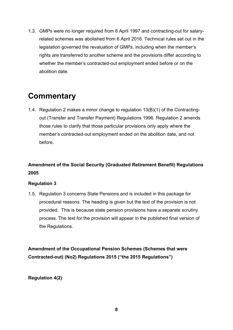1.3. GMPs were no longer required from 6 April 1997 and contracting-out for salaryrelated schemes was abolished from 6 April 2016. Technical rules set out in the legislation governed the revaluation of GMPs, including when the member's rights are transferred to another scheme and the provisions differ according to whether the member's contracted-out employment ended before or on the abolition date.

# **Commentary**

1.4. Regulation 2 makes a minor change to regulation 13(B)(1) of the Contractingout (Transfer and Transfer Payment) Regulations 1996. Regulation 2 amends those rules to clarify that those particular provisions only apply where the member's contracted-out employment ended on the abolition date, and not before.

## **Amendment of the Social Security (Graduated Retirement Benefit) Regulations 2005**

### **Regulation 3**

1.5. Regulation 3 concerns State Pensions and is included in this package for procedural reasons. The heading is given but the text of the provision is not provided. This is because state pension provisions have a separate scrutiny process. The text for the provision will appear in the published final version of the Regulations.

**Amendment of the Occupational Pension Schemes (Schemes that were Contracted-out) (No2) Regulations 2015 ("the 2015 Regulations")**

**Regulation 4(2)**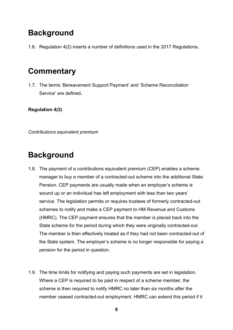# **Background**

1.6. Regulation 4(2) inserts a number of definitions used in the 2017 Regulations**.** 

# **Commentary**

1.7. The terms 'Bereavement Support Payment' and 'Scheme Reconciliation Service' are defined**.** 

**Regulation 4(3)**

*Contributions equivalent premium*

## **Background**

- 1.8. The payment of a contributions equivalent premium (CEP) enables a scheme manager to buy a member of a contracted-out scheme into the additional State Pension. CEP payments are usually made when an employer's scheme is wound up or an individual has left employment with less than two years' service. The legislation permits or requires trustees of formerly contracted-out schemes to notify and make a CEP payment to HM Revenue and Customs (HMRC). The CEP payment ensures that the member is placed back into the State scheme for the period during which they were originally contracted-out. The member is then effectively treated as if they had not been contracted-out of the State system. The employer's scheme is no longer responsible for paying a pension for the period in question.
- 1.9. The time limits for notifying and paying such payments are set in legislation. Where a CEP is required to be paid in respect of a scheme member, the scheme is then required to notify HMRC no later than six months after the member ceased contracted-out employment. HMRC can extend this period if it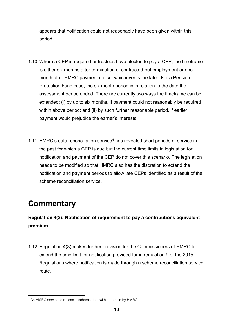appears that notification could not reasonably have been given within this period.

- 1.10.Where a CEP is required or trustees have elected to pay a CEP, the timeframe is either six months after termination of contracted-out employment or one month after HMRC payment notice, whichever is the later. For a Pension Protection Fund case, the six month period is in relation to the date the assessment period ended. There are currently two ways the timeframe can be extended: (i) by up to six months, if payment could not reasonably be required within above period; and (ii) by such further reasonable period, if earlier payment would prejudice the earner's interests.
- 1.11. HMRC's data reconciliation service<sup>[4](#page-10-0)</sup> has revealed short periods of service in the past for which a CEP is due but the current time limits in legislation for notification and payment of the CEP do not cover this scenario. The legislation needs to be modified so that HMRC also has the discretion to extend the notification and payment periods to allow late CEPs identified as a result of the scheme reconciliation service.

# **Commentary**

## **Regulation 4(3): Notification of requirement to pay a contributions equivalent premium**

1.12.Regulation 4(3) makes further provision for the Commissioners of HMRC to extend the time limit for notification provided for in regulation 9 of the 2015 Regulations where notification is made through a scheme reconciliation service route.

<span id="page-10-0"></span><sup>&</sup>lt;u>.</u> <sup>4</sup> An HMRC service to reconcile scheme data with data held by HMRC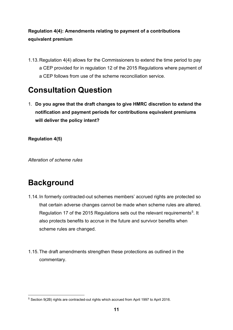## **Regulation 4(4): Amendments relating to payment of a contributions equivalent premium**

1.13.Regulation 4(4) allows for the Commissioners to extend the time period to pay a CEP provided for in regulation 12 of the 2015 Regulations where payment of a CEP follows from use of the scheme reconciliation service.

# **Consultation Question**

1. **Do you agree that the draft changes to give HMRC discretion to extend the notification and payment periods for contributions equivalent premiums will deliver the policy intent?**

**Regulation 4(5)**

*Alteration of scheme rules*

# **Background**

- 1.14. In formerly contracted-out schemes members' accrued rights are protected so that certain adverse changes cannot be made when scheme rules are altered. Regulation 17 of the 201[5](#page-11-0) Regulations sets out the relevant requirements<sup>5</sup>. It also protects benefits to accrue in the future and survivor benefits when scheme rules are changed.
- 1.15.The draft amendments strengthen these protections as outlined in the commentary.

<span id="page-11-0"></span><sup>-</sup><sup>5</sup> Section 9(2B) rights are contracted-out rights which accrued from April 1997 to April 2016.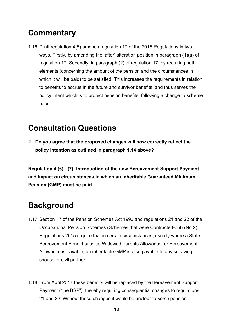# **Commentary**

1.16.Draft regulation 4(5) amends regulation 17 of the 2015 Regulations in two ways. Firstly, by amending the 'after' alteration position in paragraph (1)(a) of regulation 17. Secondly, in paragraph (2) of regulation 17, by requiring both elements (concerning the amount of the pension and the circumstances in which it will be paid) to be satisfied. This increases the requirements in relation to benefits to accrue in the future and survivor benefits, and thus serves the policy intent which is to protect pension benefits, following a change to scheme rules.

## **Consultation Questions**

2. **Do you agree that the proposed changes will now correctly reflect the policy intention as outlined in paragraph 1.14 above?** 

**Regulation 4 (6) - (7): Introduction of the new Bereavement Support Payment and impact on circumstances in which an inheritable Guaranteed Minimum Pension (GMP) must be paid**

# **Background**

- 1.17.Section 17 of the Pension Schemes Act 1993 and regulations 21 and 22 of the Occupational Pension Schemes (Schemes that were Contracted-out) (No 2) Regulations 2015 require that in certain circumstances, usually where a State Bereavement Benefit such as Widowed Parents Allowance, or Bereavement Allowance is payable, an inheritable GMP is also payable to any surviving spouse or civil partner.
- 1.18.From April 2017 these benefits will be replaced by the Bereavement Support Payment ("the BSP"), thereby requiring consequential changes to regulations 21 and 22. Without these changes it would be unclear to *some* pension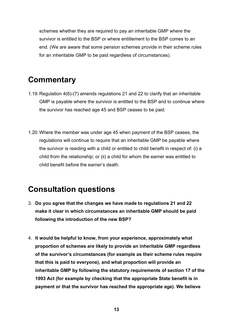schemes whether they are required to pay an inheritable GMP where the survivor is entitled to the BSP or where entitlement to the BSP comes to an end. (We are aware that some pension schemes provide in their scheme rules for an inheritable GMP to be paid regardless of circumstances).

## **Commentary**

- 1.19.Regulation 4(6)-(7) amends regulations 21 and 22 to clarify that an inheritable GMP is payable where the survivor is entitled to the BSP and to continue where the survivor has reached age 45 and BSP ceases to be paid.
- 1.20.Where the member was under age 45 when payment of the BSP ceases, the regulations will continue to require that an inheritable GMP be payable where the survivor is residing with a child or entitled to child benefit in respect of: (i) a child from the relationship; or (ii) a child for whom the earner was entitled to child benefit before the earner's death.

## **Consultation questions**

- 3. **Do you agree that the changes we have made to regulations 21 and 22 make it clear in which circumstances an inheritable GMP should be paid following the introduction of the new BSP?**
- 4. **It would be helpful to know, from your experience, approximately what proportion of schemes are likely to provide an inheritable GMP regardless of the survivor's circumstances (for example as their scheme rules require that this is paid to everyone), and what proportion will provide an inheritable GMP by following the statutory requirements of section 17 of the 1993 Act (for example by checking that the appropriate State benefit is in payment or that the survivor has reached the appropriate age). We believe**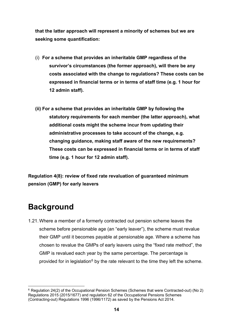**that the latter approach will represent a minority of schemes but we are seeking some quantification:**

- (i) **For a scheme that provides an inheritable GMP regardless of the survivor's circumstances (the former approach), will there be any costs associated with the change to regulations? These costs can be expressed in financial terms or in terms of staff time (e.g. 1 hour for 12 admin staff).**
- **(ii) For a scheme that provides an inheritable GMP by following the statutory requirements for each member (the latter approach), what additional costs might the scheme incur from updating their administrative processes to take account of the change, e.g. changing guidance, making staff aware of the new requirements? These costs can be expressed in financial terms or in terms of staff time (e.g. 1 hour for 12 admin staff).**

**Regulation 4(8): review of fixed rate revaluation of guaranteed minimum pension (GMP) for early leavers**

# **Background**

1.21.Where a member of a formerly contracted out pension scheme leaves the scheme before pensionable age (an "early leaver"), the scheme must revalue their GMP until it becomes payable at pensionable age. Where a scheme has chosen to revalue the GMPs of early leavers using the "fixed rate method", the GMP is revalued each year by the same percentage. The percentage is provided for in legislation<sup> $6$ </sup> by the rate relevant to the time they left the scheme.

<span id="page-14-0"></span><sup>-</sup> $6$  Regulation 24(2) of the Occupational Pension Schemes (Schemes that were Contracted-out) (No 2) Regulations 2015 (2015/1677) and regulation 62 of the Occupational Pensions Schemes (Contracting-out) Regulations 1996 (1996/1172) as saved by the Pensions Act 2014.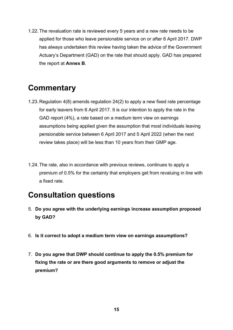1.22.The revaluation rate is reviewed every 5 years and a new rate needs to be applied for those who leave pensionable service on or after 6 April 2017. DWP has always undertaken this review having taken the advice of the Government Actuary's Department (GAD) on the rate that should apply. GAD has prepared the report at **Annex B**.

# **Commentary**

- 1.23.Regulation 4(8) amends regulation 24(2) to apply a new fixed rate percentage for early leavers from 6 April 2017. It is our intention to apply the rate in the GAD report (4%), a rate based on a medium term view on earnings assumptions being applied given the assumption that most individuals leaving pensionable service between 6 April 2017 and 5 April 2022 (when the next review takes place) will be less than 10 years from their GMP age.
- 1.24.The rate, also in accordance with previous reviews, continues to apply a premium of 0.5% for the certainty that employers get from revaluing in line with a fixed rate.

## **Consultation questions**

- 5. **Do you agree with the underlying earnings increase assumption proposed by GAD?**
- 6. **Is it correct to adopt a medium term view on earnings assumptions?**
- 7. **Do you agree that DWP should continue to apply the 0.5% premium for fixing the rate or are there good arguments to remove or adjust the premium?**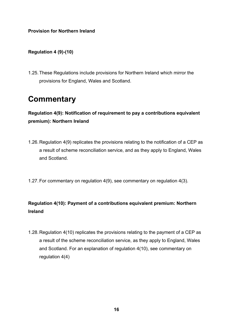### **Provision for Northern Ireland**

### **Regulation 4 (9)-(10)**

1.25.These Regulations include provisions for Northern Ireland which mirror the provisions for England, Wales and Scotland.

## **Commentary**

**Regulation 4(9): Notification of requirement to pay a contributions equivalent premium): Northern Ireland**

- 1.26.Regulation 4(9) replicates the provisions relating to the notification of a CEP as a result of scheme reconciliation service, and as they apply to England, Wales and Scotland.
- 1.27.For commentary on regulation 4(9), see commentary on regulation 4(3).

## **Regulation 4(10): Payment of a contributions equivalent premium: Northern Ireland**

1.28.Regulation 4(10) replicates the provisions relating to the payment of a CEP as a result of the scheme reconciliation service, as they apply to England, Wales and Scotland. For an explanation of regulation 4(10), see commentary on regulation 4(4)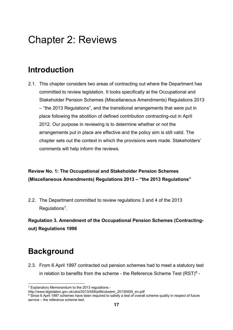# <span id="page-17-0"></span>Chapter 2: Reviews

## **Introduction**

2.1. This chapter considers two areas of contracting out where the Department has committed to review legislation. It looks specifically at the Occupational and Stakeholder Pension Schemes (Miscellaneous Amendments) Regulations 2013 – "the 2013 Regulations", and the transitional arrangements that were put in place following the abolition of defined contribution contracting-out in April 2012. Our purpose in reviewing is to determine whether or not the arrangements put in place are effective and the policy aim is still valid. The chapter sets out the context in which the provisions were made. Stakeholders' comments will help inform the reviews.

## **Review No. 1: The Occupational and Stakeholder Pension Schemes (Miscellaneous Amendments) Regulations 2013 – "the 2013 Regulations"**

2.2. The Department committed to review regulations 3 and 4 of the 2013 Regulations<sup>7</sup>.

**Regulation 3. Amendment of the Occupational Pension Schemes (Contractingout) Regulations 1996**

# **Background**

2.3. From 6 April 1997 contracted out pension schemes had to meet a statutory test in relation to benefits from the scheme - the Reference Scheme Test  $(RST)^8$  $(RST)^8$  -

<sup>-</sup><sup>7</sup> Explanatory Memorandum to the 2013 regulations -

<span id="page-17-1"></span>http://www.legislation.gov.uk/uksi/2013/459/pdfs/uksiem\_20130459\_en.pdf

<span id="page-17-2"></span><sup>&</sup>lt;sup>8</sup> Since 6 April 1997 schemes have been required to satisfy a test of overall scheme quality in respect of future service – the reference scheme test.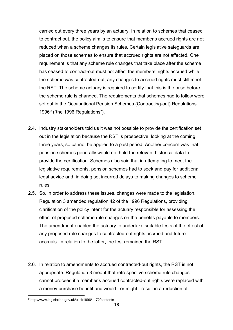carried out every three years by an actuary. In relation to schemes that ceased to contract out, the policy aim is to ensure that member's accrued rights are not reduced when a scheme changes its rules. Certain legislative safeguards are placed on those schemes to ensure that accrued rights are not affected. One requirement is that any scheme rule changes that take place after the scheme has ceased to contract-out must not affect the members' rights accrued while the scheme was contracted-out; any changes to accrued rights must still meet the RST. The scheme actuary is required to certify that this is the case before the scheme rule is changed. The requirements that schemes had to follow were set out in the Occupational Pension Schemes (Contracting-out) Regulations 1[9](#page-18-0)96 $9$  ("the 1996 Regulations").

- 2.4. Industry stakeholders told us it was not possible to provide the certification set out in the legislation because the RST is prospective, looking at the coming three years, so cannot be applied to a past period. Another concern was that pension schemes generally would not hold the relevant historical data to provide the certification. Schemes also said that in attempting to meet the legislative requirements, pension schemes had to seek and pay for additional legal advice and, in doing so, incurred delays to making changes to scheme rules.
- 2.5. So, in order to address these issues, changes were made to the legislation. Regulation 3 amended regulation 42 of the 1996 Regulations, providing clarification of the policy intent for the actuary responsible for assessing the effect of proposed scheme rule changes on the benefits payable to members. The amendment enabled the actuary to undertake suitable tests of the effect of any proposed rule changes to contracted-out rights accrued and future accruals. In relation to the latter, the test remained the RST.
- 2.6. In relation to amendments to accrued contracted-out rights, the RST is not appropriate. Regulation 3 meant that retrospective scheme rule changes cannot proceed if a member's accrued contracted-out rights were replaced with a money purchase benefit and would - or might - result in a reduction of

<span id="page-18-0"></span><sup>&</sup>lt;u>.</u> <sup>9</sup> http://www.legislation.gov.uk/uksi/1996/1172/contents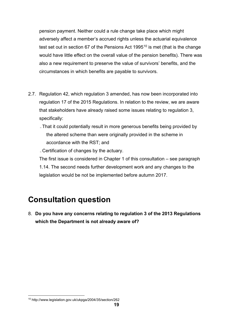pension payment. Neither could a rule change take place which might adversely affect a member's accrued rights unless the actuarial equivalence test set out in section 67 of the Pensions Act 1995<sup>[10](#page-19-0)</sup> is met (that is the change would have little effect on the overall value of the pension benefits). There was also a new requirement to preserve the value of survivors' benefits, and the circumstances in which benefits are payable to survivors.

- 2.7. Regulation 42, which regulation 3 amended, has now been incorporated into regulation 17 of the 2015 Regulations. In relation to the review, we are aware that stakeholders have already raised some issues relating to regulation 3, specifically:
	- That it could potentially result in more generous benefits being provided by the altered scheme than were originally provided in the scheme in accordance with the RST; and

̵Certification of changes by the actuary.

The first issue is considered in Chapter 1 of this consultation – see paragraph 1.14. The second needs further development work and any changes to the legislation would be not be implemented before autumn 2017.

# **Consultation question**

8. **Do you have any concerns relating to regulation 3 of the 2013 Regulations which the Department is not already aware of?**

<span id="page-19-0"></span><sup>&</sup>lt;u>.</u> <sup>10</sup> http://www.legislation.gov.uk/ukpga/2004/35/section/262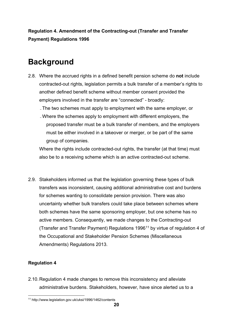**Regulation 4. Amendment of the Contracting-out (Transfer and Transfer Payment) Regulations 1996** 

# **Background**

2.8. Where the accrued rights in a defined benefit pension scheme do **not** include contracted-out rights, legislation permits a bulk transfer of a member's rights to another defined benefit scheme without member consent provided the employers involved in the transfer are "connected" - broadly:

̵The two schemes must apply to employment with the same employer, or

̵Where the schemes apply to employment with different employers, the proposed transfer must be a bulk transfer of members, and the employers must be either involved in a takeover or merger, or be part of the same group of companies.

Where the rights include contracted-out rights, the transfer (at that time) must also be to a receiving scheme which is an active contracted-out scheme.

2.9. Stakeholders informed us that the legislation governing these types of bulk transfers was inconsistent, causing additional administrative cost and burdens for schemes wanting to consolidate pension provision. There was also uncertainty whether bulk transfers could take place between schemes where both schemes have the same sponsoring employer, but one scheme has no active members. Consequently, we made changes to the Contracting-out (Transfer and Transfer Payment) Regulations 1996[11](#page-20-0) by virtue of regulation 4 of the Occupational and Stakeholder Pension Schemes (Miscellaneous Amendments) Regulations 2013.

### **Regulation 4**

2.10. Regulation 4 made changes to remove this inconsistency and alleviate administrative burdens. Stakeholders, however, have since alerted us to a

<span id="page-20-0"></span><sup>&</sup>lt;u>.</u> <sup>11</sup> http://www.legislation.gov.uk/uksi/1996/1462/contents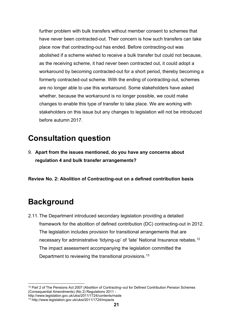further problem with bulk transfers without member consent to schemes that have never been contracted-out. Their concern is how such transfers can take place now that contracting-out has ended. Before contracting-out was abolished if a scheme wished to receive a bulk transfer but could not because, as the receiving scheme, it had never been contracted out, it could adopt a workaround by becoming contracted-out for a short period, thereby becoming a formerly contracted-out scheme. With the ending of contracting-out, schemes are no longer able to use this workaround. Some stakeholders have asked whether, because the workaround is no longer possible, we could make changes to enable this type of transfer to take place. We are working with stakeholders on this issue but any changes to legislation will not be introduced before autumn 2017.

# **Consultation question**

9. **Apart from the issues mentioned, do you have any concerns about regulation 4 and bulk transfer arrangements?**

**Review No. 2: Abolition of Contracting-out on a defined contribution basis**

# **Background**

2.11.The Department introduced secondary legislation providing a detailed framework for the abolition of defined contribution (DC) contracting-out in 2012. The legislation includes provision for transitional arrangements that are necessary for administrative 'tidying-up' of 'late' National Insurance rebates.<sup>[12](#page-21-0)</sup> The impact assessment accompanying the legislation committed the Department to reviewing the transitional provisions.<sup>13</sup>

<span id="page-21-0"></span><sup>-</sup><sup>12</sup> Part 2 of The Pensions Act 2007 (Abolition of Contracting–out for Defined Contribution Pension Schemes (Consequential Amendments) (No 2) Regulations 2011 -

http://www.legislation.gov.uk/uksi/2011/1724/contents/made

<span id="page-21-1"></span><sup>13</sup> http://www.legislation.gov.uk/uksi/2011/1724/impacts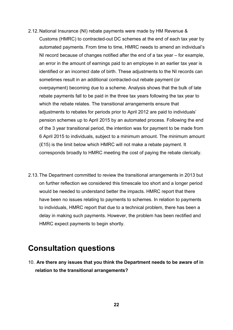- 2.12.National Insurance (NI) rebate payments were made by HM Revenue & Customs (HMRC) to contracted-out DC schemes at the end of each tax year by automated payments. From time to time, HMRC needs to amend an individual's NI record because of changes notified after the end of a tax year – for example, an error in the amount of earnings paid to an employee in an earlier tax year is identified or an incorrect date of birth. These adjustments to the NI records can sometimes result in an additional contracted-out rebate payment (or overpayment) becoming due to a scheme. Analysis shows that the bulk of late rebate payments fall to be paid in the three tax years following the tax year to which the rebate relates. The transitional arrangements ensure that adjustments to rebates for periods prior to April 2012 are paid to individuals' pension schemes up to April 2015 by an automated process. Following the end of the 3 year transitional period, the intention was for payment to be made from 6 April 2015 to individuals, subject to a minimum amount. The minimum amount (£15) is the limit below which HMRC will not make a rebate payment. It corresponds broadly to HMRC meeting the cost of paying the rebate clerically.
- 2.13.The Department committed to review the transitional arrangements in 2013 but on further reflection we considered this timescale too short and a longer period would be needed to understand better the impacts. HMRC report that there have been no issues relating to payments to schemes. In relation to payments to individuals, HMRC report that due to a technical problem, there has been a delay in making such payments. However, the problem has been rectified and HMRC expect payments to begin shortly.

## **Consultation questions**

10. **Are there any issues that you think the Department needs to be aware of in relation to the transitional arrangements?**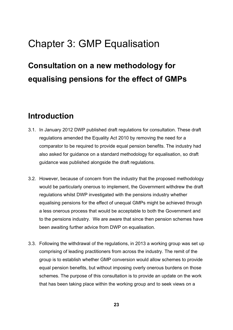# <span id="page-23-0"></span>Chapter 3: GMP Equalisation

# **Consultation on a new methodology for equalising pensions for the effect of GMPs**

## **Introduction**

- 3.1. In January 2012 DWP published draft regulations for consultation. These draft regulations amended the Equality Act 2010 by removing the need for a comparator to be required to provide equal pension benefits. The industry had also asked for guidance on a standard methodology for equalisation, so draft guidance was published alongside the draft regulations.
- 3.2. However, because of concern from the industry that the proposed methodology would be particularly onerous to implement, the Government withdrew the draft regulations whilst DWP investigated with the pensions industry whether equalising pensions for the effect of unequal GMPs might be achieved through a less onerous process that would be acceptable to both the Government and to the pensions industry. We are aware that since then pension schemes have been awaiting further advice from DWP on equalisation.
- 3.3. Following the withdrawal of the regulations, in 2013 a working group was set up comprising of leading practitioners from across the industry. The remit of the group is to establish whether GMP conversion would allow schemes to provide equal pension benefits, but without imposing overly onerous burdens on those schemes. The purpose of this consultation is to provide an update on the work that has been taking place within the working group and to seek views on a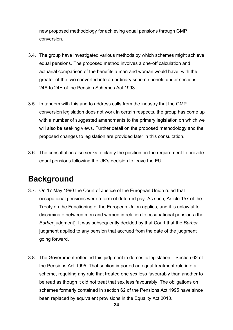new proposed methodology for achieving equal pensions through GMP conversion.

- 3.4. The group have investigated various methods by which schemes might achieve equal pensions. The proposed method involves a one-off calculation and actuarial comparison of the benefits a man and woman would have, with the greater of the two converted into an ordinary scheme benefit under sections 24A to 24H of the Pension Schemes Act 1993.
- 3.5. In tandem with this and to address calls from the industry that the GMP conversion legislation does not work in certain respects, the group has come up with a number of suggested amendments to the primary legislation on which we will also be seeking views. Further detail on the proposed methodology and the proposed changes to legislation are provided later in this consultation.
- 3.6. The consultation also seeks to clarify the position on the requirement to provide equal pensions following the UK's decision to leave the EU.

# **Background**

- 3.7. On 17 May 1990 the Court of Justice of the European Union ruled that occupational pensions were a form of deferred pay. As such, Article 157 of the Treaty on the Functioning of the European Union applies, and it is unlawful to discriminate between men and women in relation to occupational pensions (the *Barber* judgment). It was subsequently decided by that Court that the *Barber*  judgment applied to any pension that accrued from the date of the judgment going forward.
- 3.8. The Government reflected this judgment in domestic legislation Section 62 of the Pensions Act 1995. That section imported an equal treatment rule into a scheme, requiring any rule that treated one sex less favourably than another to be read as though it did not treat that sex less favourably. The obligations on schemes formerly contained in section 62 of the Pensions Act 1995 have since been replaced by equivalent provisions in the Equality Act 2010.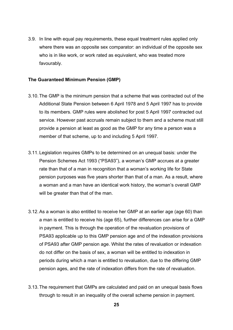3.9. In line with equal pay requirements, these equal treatment rules applied only where there was an opposite sex comparator: an individual of the opposite sex who is in like work, or work rated as equivalent, who was treated more favourably.

#### **The Guaranteed Minimum Pension (GMP)**

- 3.10.The GMP is the minimum pension that a scheme that was contracted out of the Additional State Pension between 6 April 1978 and 5 April 1997 has to provide to its members. GMP rules were abolished for post 5 April 1997 contracted out service. However past accruals remain subject to them and a scheme must still provide a pension at least as good as the GMP for any time a person was a member of that scheme, up to and including 5 April 1997.
- 3.11. Legislation requires GMPs to be determined on an unequal basis: under the Pension Schemes Act 1993 ("PSA93"), a woman's GMP accrues at a greater rate than that of a man in recognition that a woman's working life for State pension purposes was five years shorter than that of a man. As a result, where a woman and a man have an identical work history, the woman's overall GMP will be greater than that of the man.
- 3.12.As a woman is also entitled to receive her GMP at an earlier age (age 60) than a man is entitled to receive his (age 65), further differences can arise for a GMP in payment. This is through the operation of the revaluation provisions of PSA93 applicable up to this GMP pension age and of the indexation provisions of PSA93 after GMP pension age. Whilst the rates of revaluation or indexation do not differ on the basis of sex, a woman will be entitled to indexation in periods during which a man is entitled to revaluation, due to the differing GMP pension ages, and the rate of indexation differs from the rate of revaluation.
- 3.13.The requirement that GMPs are calculated and paid on an unequal basis flows through to result in an inequality of the overall scheme pension in payment.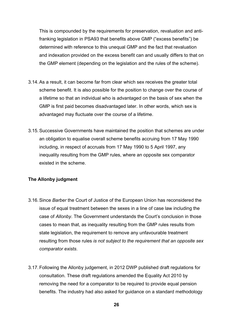This is compounded by the requirements for preservation, revaluation and antifranking legislation in PSA93 that benefits above GMP ("excess benefits") be determined with reference to this unequal GMP and the fact that revaluation and indexation provided on the excess benefit can and usually differs to that on the GMP element (depending on the legislation and the rules of the scheme).

- 3.14.As a result, it can become far from clear which sex receives the greater total scheme benefit. It is also possible for the position to change over the course of a lifetime so that an individual who is advantaged on the basis of sex when the GMP is first paid becomes disadvantaged later. In other words, which sex is advantaged may fluctuate over the course of a lifetime.
- 3.15.Successive Governments have maintained the position that schemes are under an obligation to equalise overall scheme benefits accruing from 17 May 1990 including, in respect of accruals from 17 May 1990 to 5 April 1997, any inequality resulting from the GMP rules, where an opposite sex comparator existed in the scheme.

### **The Allonby judgment**

- 3.16.Since *Barber* the Court of Justice of the European Union has reconsidered the issue of equal treatment between the sexes in a line of case law including the case of *Allonby*. The Government understands the Court's conclusion in those cases to mean that, as inequality resulting from the GMP rules results from state legislation, the requirement to remove any unfavourable treatment resulting from those rules *is not subject to the requirement that an opposite sex comparator exists*.
- 3.17.Following the Allonby judgement, in 2012 DWP published draft regulations for consultation. These draft regulations amended the Equality Act 2010 by removing the need for a comparator to be required to provide equal pension benefits. The industry had also asked for guidance on a standard methodology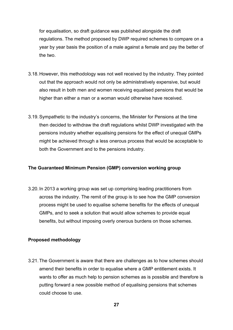for equalisation, so draft guidance was published alongside the draft regulations. The method proposed by DWP required schemes to compare on a year by year basis the position of a male against a female and pay the better of the two.

- 3.18.However, this methodology was not well received by the industry. They pointed out that the approach would not only be administratively expensive, but would also result in both men and women receiving equalised pensions that would be higher than either a man or a woman would otherwise have received.
- 3.19.Sympathetic to the industry's concerns, the Minister for Pensions at the time then decided to withdraw the draft regulations whilst DWP investigated with the pensions industry whether equalising pensions for the effect of unequal GMPs might be achieved through a less onerous process that would be acceptable to both the Government and to the pensions industry.

### **The Guaranteed Minimum Pension (GMP) conversion working group**

3.20. In 2013 a working group was set up comprising leading practitioners from across the industry. The remit of the group is to see how the GMP conversion process might be used to equalise scheme benefits for the effects of unequal GMPs, and to seek a solution that would allow schemes to provide equal benefits, but without imposing overly onerous burdens on those schemes.

### **Proposed methodology**

3.21.The Government is aware that there are challenges as to how schemes should amend their benefits in order to equalise where a GMP entitlement exists. It wants to offer as much help to pension schemes as is possible and therefore is putting forward a new possible method of equalising pensions that schemes could choose to use.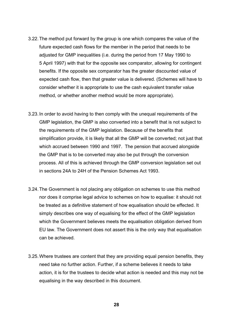- 3.22.The method put forward by the group is one which compares the value of the future expected cash flows for the member in the period that needs to be adjusted for GMP inequalities (i.e. during the period from 17 May 1990 to 5 April 1997) with that for the opposite sex comparator, allowing for contingent benefits. If the opposite sex comparator has the greater discounted value of expected cash flow, then that greater value is delivered. (Schemes will have to consider whether it is appropriate to use the cash equivalent transfer value method, or whether another method would be more appropriate).
- 3.23. In order to avoid having to then comply with the unequal requirements of the GMP legislation, the GMP is also converted into a benefit that is not subject to the requirements of the GMP legislation. Because of the benefits that simplification provide, it is likely that all the GMP will be converted; not just that which accrued between 1990 and 1997. The pension that accrued alongside the GMP that is to be converted may also be put through the conversion process. All of this is achieved through the GMP conversion legislation set out in sections 24A to 24H of the Pension Schemes Act 1993.
- 3.24.The Government is not placing any obligation on schemes to use this method nor does it comprise legal advice to schemes on how to equalise: it should not be treated as a definitive statement of how equalisation should be effected. It simply describes one way of equalising for the effect of the GMP legislation which the Government believes meets the equalisation obligation derived from EU law. The Government does not assert this is the only way that equalisation can be achieved.
- 3.25.Where trustees are content that they are providing equal pension benefits, they need take no further action. Further, if a scheme believes it needs to take action, it is for the trustees to decide what action is needed and this may not be equalising in the way described in this document.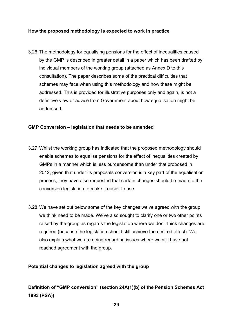### **How the proposed methodology is expected to work in practice**

3.26.The methodology for equalising pensions for the effect of inequalities caused by the GMP is described in greater detail in a paper which has been drafted by individual members of the working group (attached as Annex D to this consultation). The paper describes some of the practical difficulties that schemes may face when using this methodology and how these might be addressed. This is provided for illustrative purposes only and again, is not a definitive view or advice from Government about how equalisation might be addressed.

### **GMP Conversion – legislation that needs to be amended**

- 3.27.Whilst the working group has indicated that the proposed methodology should enable schemes to equalise pensions for the effect of inequalities created by GMPs in a manner which is less burdensome than under that proposed in 2012, given that under its proposals conversion is a key part of the equalisation process, they have also requested that certain changes should be made to the conversion legislation to make it easier to use.
- 3.28.We have set out below some of the key changes we've agreed with the group we think need to be made. We've also sought to clarify one or two other points raised by the group as regards the legislation where we don't think changes are required (because the legislation should still achieve the desired effect). We also explain what we are doing regarding issues where we still have not reached agreement with the group.

### **Potential changes to legislation agreed with the group**

## **Definition of "GMP conversion" (section 24A(1)(b) of the Pension Schemes Act 1993 (PSA))**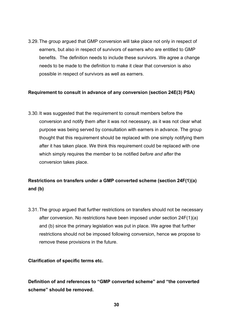3.29.The group argued that GMP conversion will take place not only in respect of earners, but also in respect of survivors of earners who are entitled to GMP benefits. The definition needs to include these survivors. We agree a change needs to be made to the definition to make it clear that conversion is also possible in respect of survivors as well as earners.

### **Requirement to consult in advance of any conversion (section 24E(3) PSA)**

3.30. It was suggested that the requirement to consult members before the conversion and notify them after it was not necessary, as it was not clear what purpose was being served by consultation with earners in advance. The group thought that this requirement should be replaced with one simply notifying them after it has taken place. We think this requirement could be replaced with one which simply requires the member to be notified *before and after* the conversion takes place.

## **Restrictions on transfers under a GMP converted scheme (section 24F(1)(a) and (b)**

3.31.The group argued that further restrictions on transfers should not be necessary after conversion. No restrictions have been imposed under section 24F(1)(a) and (b) since the primary legislation was put in place. We agree that further restrictions should not be imposed following conversion, hence we propose to remove these provisions in the future.

### **Clarification of specific terms etc.**

**Definition of and references to "GMP converted scheme" and "the converted scheme" should be removed.**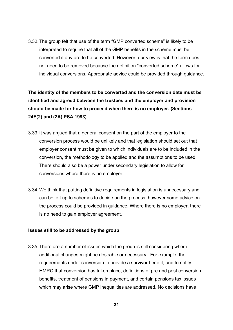3.32.The group felt that use of the term "GMP converted scheme" is likely to be interpreted to require that all of the GMP benefits in the scheme must be converted if any are to be converted. However, our view is that the term does not need to be removed because the definition "converted scheme" allows for individual conversions. Appropriate advice could be provided through guidance.

**The identity of the members to be converted and the conversion date must be identified and agreed between the trustees and the employer and provision should be made for how to proceed when there is no employer. (Sections 24E(2) and (2A) PSA 1993)**

- 3.33. It was argued that a general consent on the part of the employer to the conversion process would be unlikely and that legislation should set out that employer consent must be given to which individuals are to be included in the conversion, the methodology to be applied and the assumptions to be used. There should also be a power under secondary legislation to allow for conversions where there is no employer.
- 3.34.We think that putting definitive requirements in legislation is unnecessary and can be left up to schemes to decide on the process, however some advice on the process could be provided in guidance. Where there is no employer, there is no need to gain employer agreement.

#### **Issues still to be addressed by the group**

3.35.There are a number of issues which the group is still considering where additional changes might be desirable or necessary. For example, the requirements under conversion to provide a survivor benefit, and to notify HMRC that conversion has taken place, definitions of pre and post conversion benefits, treatment of pensions in payment, and certain pensions tax issues which may arise where GMP inequalities are addressed. No decisions have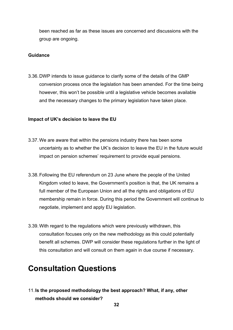been reached as far as these issues are concerned and discussions with the group are ongoing.

### **Guidance**

3.36.DWP intends to issue guidance to clarify some of the details of the GMP conversion process once the legislation has been amended. For the time being however, this won't be possible until a legislative vehicle becomes available and the necessary changes to the primary legislation have taken place.

### **Impact of UK's decision to leave the EU**

- 3.37.We are aware that within the pensions industry there has been some uncertainty as to whether the UK's decision to leave the EU in the future would impact on pension schemes' requirement to provide equal pensions.
- 3.38.Following the EU referendum on 23 June where the people of the United Kingdom voted to leave, the Government's position is that, the UK remains a full member of the European Union and all the rights and obligations of EU membership remain in force. During this period the Government will continue to negotiate, implement and apply EU legislation.
- 3.39.With regard to the regulations which were previously withdrawn, this consultation focuses only on the new methodology as this could potentially benefit all schemes. DWP will consider these regulations further in the light of this consultation and will consult on them again in due course if necessary.

## **Consultation Questions**

11.**Is the proposed methodology the best approach? What, if any, other methods should we consider?**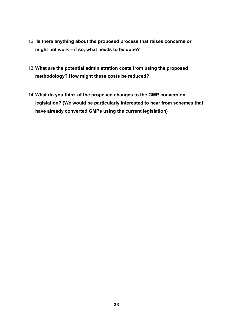- 12. **Is there anything about the proposed process that raises concerns or might not work – if so, what needs to be done?**
- 13.**What are the potential administration costs from using the proposed methodology? How might these costs be reduced?**
- 14.**What do you think of the proposed changes to the GMP conversion legislation? (We would be particularly interested to hear from schemes that have already converted GMPs using the current legislation)**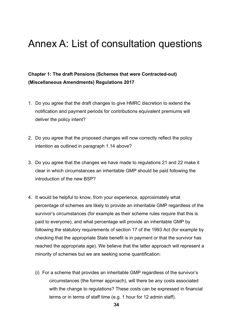# <span id="page-34-0"></span>Annex A: List of consultation questions

## **Chapter 1: The draft Pensions (Schemes that were Contracted-out) (Miscellaneous Amendments) Regulations 2017**

- 1. Do you agree that the draft changes to give HMRC discretion to extend the notification and payment periods for contributions equivalent premiums will deliver the policy intent?
- 2. Do you agree that the proposed changes will now correctly reflect the policy intention as outlined in paragraph 1.14 above?
- 3. Do you agree that the changes we have made to regulations 21 and 22 make it clear in which circumstances an inheritable GMP should be paid following the introduction of the new BSP?
- 4. It would be helpful to know, from your experience, approximately what percentage of schemes are likely to provide an inheritable GMP regardless of the survivor's circumstances (for example as their scheme rules require that this is paid to everyone), and what percentage will provide an inheritable GMP by following the statutory requirements of section 17 of the 1993 Act (for example by checking that the appropriate State benefit is in payment or that the survivor has reached the appropriate age). We believe that the latter approach will represent a minority of schemes but we are seeking some quantification:
	- (i) For a scheme that provides an inheritable GMP regardless of the survivor's circumstances (the former approach), will there be any costs associated with the change to regulations? These costs can be expressed in financial terms or in terms of staff time (e.g. 1 hour for 12 admin staff).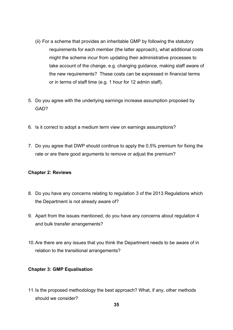- (ii) For a scheme that provides an inheritable GMP by following the statutory requirements for each member (the latter approach), what additional costs might the scheme incur from updating their administrative processes to take account of the change, e.g. changing guidance, making staff aware of the new requirements? These costs can be expressed in financial terms or in terms of staff time (e.g. 1 hour for 12 admin staff).
- 5. Do you agree with the underlying earnings increase assumption proposed by GAD?
- 6. Is it correct to adopt a medium term view on earnings assumptions?
- 7. Do you agree that DWP should continue to apply the 0.5% premium for fixing the rate or are there good arguments to remove or adjust the premium?

### **Chapter 2: Reviews**

- 8. Do you have any concerns relating to regulation 3 of the 2013 Regulations which the Department is not already aware of?
- 9. Apart from the issues mentioned, do you have any concerns about regulation 4 and bulk transfer arrangements?
- 10.Are there are any issues that you think the Department needs to be aware of in relation to the transitional arrangements?

### **Chapter 3: GMP Equalisation**

11.Is the proposed methodology the best approach? What, if any, other methods should we consider?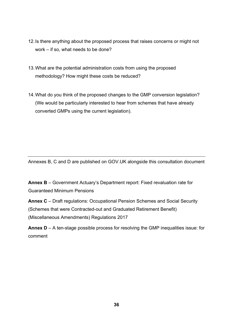- 12.Is there anything about the proposed process that raises concerns or might not work – if so, what needs to be done?
- 13.What are the potential administration costs from using the proposed methodology? How might these costs be reduced?
- 14.What do you think of the proposed changes to the GMP conversion legislation? (We would be particularly interested to hear from schemes that have already converted GMPs using the current legislation).

Annexes B, C and D are published on GOV.UK alongside this consultation document

**Annex B** – Government Actuary's Department report: Fixed revaluation rate for Guaranteed Minimum Pensions

**Annex C** – Draft regulations: Occupational Pension Schemes and Social Security (Schemes that were Contracted-out and Graduated Retirement Benefit) (Miscellaneous Amendments) Regulations 2017

**Annex D** – A ten-stage possible process for resolving the GMP inequalities issue: for comment